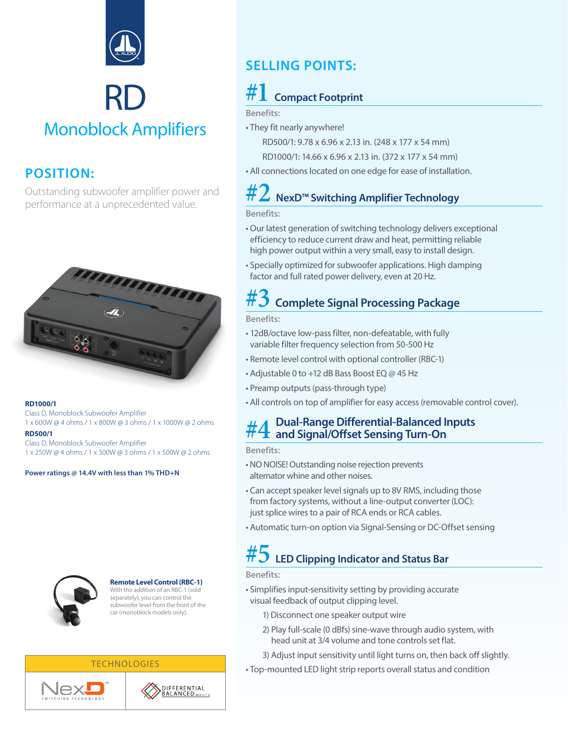

# RD Monoblock Amplifiers

### **POSITION:**

Outstanding subwoofer amplifier power and performance at a unprecedented value.



#### **RD1000/1**

Class D, Monoblock Subwoofer Amplifier 1 x 600W @ 4 ohms / 1 x 800W @ 3 ohms / 1 x 1000W @ 2 ohms

**RD500/1**  Class D, Monoblock Subwoofer Amplifier 1 x 250W @ 4 ohms / 1 x 300W @ 3 ohms / 1 x 500W @ 2 ohms

**Power ratings @ 14.4V with less than 1% THD+N**



#### **Remote Level Control (RBC-1)**

With the addition of an RBC-1 (sold separately), you can control the subwoofer level from the front of the car (monoblock models only).

## **SELLING POINTS:**

### *<u>Compact Footprint</u>*

**Benefits:**

• They fit nearly anywhere! RD500/1: 9.78 x 6.96 x 2.13 in. (248 x 177 x 54 mm)

RD1000/1: 14.66 x 6.96 x 2.13 in. (372 x 177 x 54 mm)

• All connections located on one edge for ease of installation.

## **#2 NexD™ Switching Amplifier Technology**

### **Benefits:**

- Our latest generation of switching technology delivers exceptional efficiency to reduce current draw and heat, permitting reliable high power output within a very small, easy to install design.
- Specially optimized for subwoofer applications. High damping factor and full rated power delivery, even at 20 Hz.

# **#3 Complete Signal Processing Package**

**Benefits:**

- 12dB/octave low-pass filter, non-defeatable, with fully variable filter frequency selection from 50-500 Hz
- Remote level control with optional controller (RBC-1)
- Adjustable 0 to +12 dB Bass Boost EQ @ 45 Hz
- Preamp outputs (pass-through type)
- All controls on top of amplifier for easy access (removable control cover).

### **#4 Dual-Range Differential-Balanced Inputs and Signal/Offset Sensing Turn-On**

#### **Benefits:**

- NO NOISE! Outstanding noise rejection prevents alternator whine and other noises.
- Can accept speaker level signals up to 8V RMS, including those from factory systems, without a line-output converter (LOC): just splice wires to a pair of RCA ends or RCA cables.
- Automatic turn-on option via Signal-Sensing or DC-Offset sensing

## **#5 LED Clipping Indicator and Status Bar**

#### **Benefits:**

- Simplifies input-sensitivity setting by providing accurate visual feedback of output clipping level.
	- 1) Disconnect one speaker output wire
	- 2) Play full-scale (0 dBfs) sine-wave through audio system, with head unit at 3/4 volume and tone controls set flat.
	- 3) Adjust input sensitivity until light turns on, then back off slightly.
- Top-mounted LED light strip reports overall status and condition





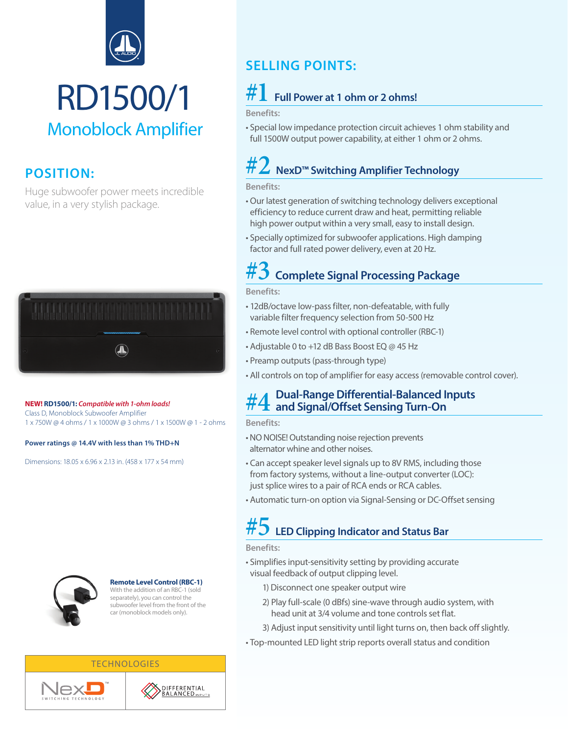

# RD1500/1 Monoblock Amplifier

### **POSITION:**

Huge subwoofer power meets incredible value, in a very stylish package.



#### **NEW! RD1500/1:** *Compatible with 1-ohm loads!*

Class D, Monoblock Subwoofer Amplifier 1 x 750W @ 4 ohms / 1 x 1000W @ 3 ohms / 1 x 1500W @ 1 - 2 ohms

**Power ratings @ 14.4V with less than 1% THD+N**

Dimensions: 18.05 x 6.96 x 2.13 in. (458 x 177 x 54 mm)



#### **Remote Level Control (RBC-1)**

With the addition of an RBC-1 (sold separately), you can control the subwoofer level from the front of the car (monoblock models only).

## **SELLING POINTS:**

### **#1 Full Power at 1 ohm or 2 ohms!**

**Benefits:**

• Special low impedance protection circuit achieves 1 ohm stability and full 1500W output power capability, at either 1 ohm or 2 ohms.

## **#2 NexD™ Switching Amplifier Technology**

**Benefits:**

- Our latest generation of switching technology delivers exceptional efficiency to reduce current draw and heat, permitting reliable high power output within a very small, easy to install design.
- Specially optimized for subwoofer applications. High damping factor and full rated power delivery, even at 20 Hz.

### **#3 Complete Signal Processing Package**

**Benefits:**

- 12dB/octave low-pass filter, non-defeatable, with fully variable filter frequency selection from 50-500 Hz
- Remote level control with optional controller (RBC-1)
- Adjustable 0 to +12 dB Bass Boost EQ @ 45 Hz
- Preamp outputs (pass-through type)
- All controls on top of amplifier for easy access (removable control cover).

# **#4 Dual-Range Differential-Balanced Inputs and Signal/Offset Sensing Turn-On**

**Benefits:**

- NO NOISE! Outstanding noise rejection prevents alternator whine and other noises.
- Can accept speaker level signals up to 8V RMS, including those from factory systems, without a line-output converter (LOC): just splice wires to a pair of RCA ends or RCA cables.
- Automatic turn-on option via Signal-Sensing or DC-Offset sensing

### **#5 LED Clipping Indicator and Status Bar**

**Benefits:**

- Simplifies input-sensitivity setting by providing accurate visual feedback of output clipping level.
	- 1) Disconnect one speaker output wire
	- 2) Play full-scale (0 dBfs) sine-wave through audio system, with head unit at 3/4 volume and tone controls set flat.
	- 3) Adjust input sensitivity until light turns on, then back off slightly.
- Top-mounted LED light strip reports overall status and condition



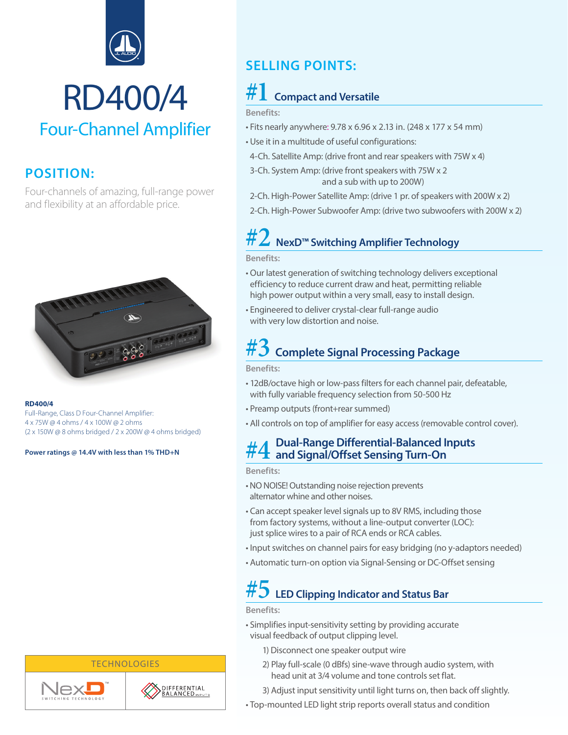

# RD400/4 Four-Channel Amplifier

### **POSITION:**

Four-channels of amazing, full-range power and flexibility at an affordable price.



#### **RD400/4**

Full-Range, Class D Four-Channel Amplifier: 4 x 75W @ 4 ohms / 4 x 100W @ 2 ohms (2 x 150W @ 8 ohms bridged / 2 x 200W @ 4 ohms bridged)

**Power ratings @ 14.4V with less than 1% THD+N**

### **SELLING POINTS:**

## **#1 Compact and Versatile**

**Benefits:**

- Fits nearly anywhere: 9.78 x 6.96 x 2.13 in. (248 x 177 x 54 mm)
- Use it in a multitude of useful configurations:
- 4-Ch. Satellite Amp: (drive front and rear speakers with 75W x 4)
- 3-Ch. System Amp: (drive front speakers with 75W x 2 and a sub with up to 200W)
- 2-Ch. High-Power Satellite Amp: (drive 1 pr. of speakers with 200W x 2)
- 2-Ch. High-Power Subwoofer Amp: (drive two subwoofers with 200W x 2)

# **#2 NexD™ Switching Amplifier Technology**

**Benefits:**

- Our latest generation of switching technology delivers exceptional efficiency to reduce current draw and heat, permitting reliable high power output within a very small, easy to install design.
- Engineered to deliver crystal-clear full-range audio with very low distortion and noise.

## **#3 Complete Signal Processing Package**

**Benefits:**

- 12dB/octave high or low-pass filters for each channel pair, defeatable, with fully variable frequency selection from 50-500 Hz
- Preamp outputs (front+rear summed)
- All controls on top of amplifier for easy access (removable control cover).

### **#4 Dual-Range Differential-Balanced Inputs and Signal/Offset Sensing Turn-On**

**Benefits:**

- NO NOISE! Outstanding noise rejection prevents alternator whine and other noises.
- Can accept speaker level signals up to 8V RMS, including those from factory systems, without a line-output converter (LOC): just splice wires to a pair of RCA ends or RCA cables.
- Input switches on channel pairs for easy bridging (no y-adaptors needed)
- Automatic turn-on option via Signal-Sensing or DC-Offset sensing

# **#5 LED Clipping Indicator and Status Bar**

#### **Benefits:**

- Simplifies input-sensitivity setting by providing accurate visual feedback of output clipping level.
	- 1) Disconnect one speaker output wire
	- 2) Play full-scale (0 dBfs) sine-wave through audio system, with head unit at 3/4 volume and tone controls set flat.
	- 3) Adjust input sensitivity until light turns on, then back off slightly.
- Top-mounted LED light strip reports overall status and condition



**TECHNOLOGIES**